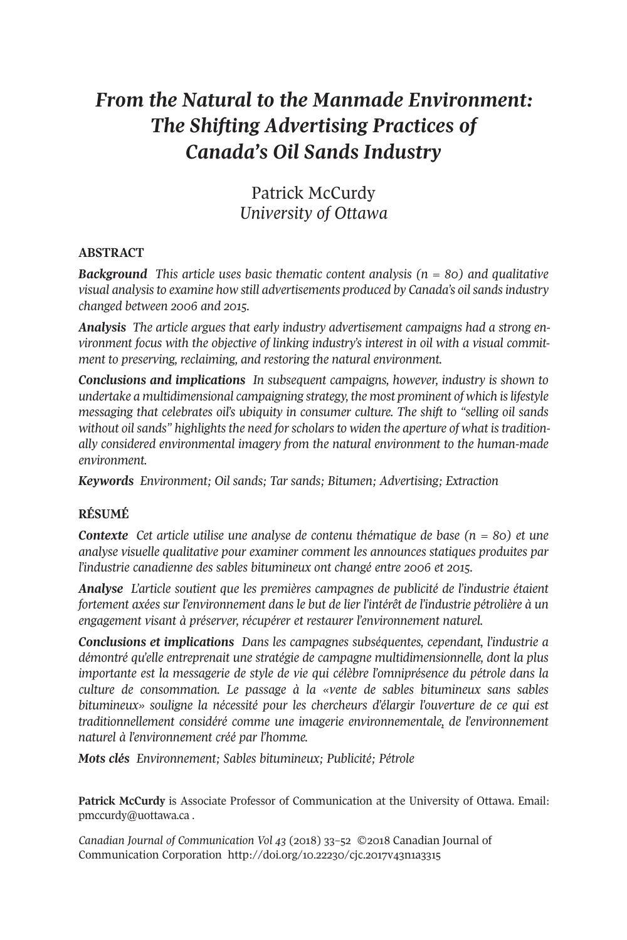# *From the Natural to the Manmade Environment: The Shifting Advertising Practices of Canada's Oil Sands Industry*

Patrick McCurdy *University of Ottawa*

# **ABSTRACT**

*Background This article uses basic thematic content analysis (n = 80) and qualitative visual analysisto examine how still advertisements produced by Canada's oilsandsindustry changed between 2006 and 2015.*

*Analysis The article argues that early industry advertisement campaigns had a strong environment focus with the objective of linking industry's interest in oil with a visual commitment to preserving, reclaiming, and restoring the natural environment.*

*Conclusions and implications In subsequent campaigns, however, industry is shown to undertake a multidimensional campaigning strategy, the most prominent of which islifestyle messaging that celebrates oil's ubiquity in consumer culture. The shift to "selling oil sands without oil sands*" *highlights the need for scholars to widen the aperture of what is traditionally considered environmental imagery from the natural environment to the human-made environment.*

*Keywords Environment; Oil sands; Tar sands; Bitumen; Advertising; Extraction*

# **RÉSUMÉ**

*Contexte Cet article utilise une analyse de contenu thématique de base (n = 80) et une analyse visuelle qualitative pour examiner comment les announces statiques produites par l'industrie canadienne des sables bitumineux ont changé entre 2006 et 2015.*

*Analyse L'article soutient que les premières campagnes de publicité de l'industrie étaient fortement axées sur l'environnement dans le but de lier l'intérêt de l'industrie pétrolière à un engagement visant à préserver, récupérer et restaurer l'environnement naturel.*

*Conclusions et implications Dans les campagnes subséquentes, cependant, l'industrie a démontré qu'elle entreprenait une stratégie de campagne multidimensionnelle, dont la plus importante est la messagerie de style de vie qui célèbre l'omniprésence du pétrole dans la culture de consommation. Le passage à la «vente de sables bitumineux sans sables bitumineux» souligne la nécessité pour les chercheurs d'élargir l'ouverture de ce qui est traditionnellement considéré comme une imagerie environnementale, de l'environnement naturel à l'environnement créé par l'homme.*

*Mots clés Environnement; Sables bitumineux; Publicité; Pétrole*

**Patrick McCurdy** is Associate Professor of Communication at the University of Ottawa. Email: [pmccurdy@uottawa.ca](mailto:pmccurdy@uottawa.ca .) .

*Canadian Journal of [Communication](http://www.cjc-online.ca) Vol 43* (2018) 33–52 ©2018 Canadian Journal of Communication Corporation <http://doi.org/10.22230/cjc.2017v43n1a3315>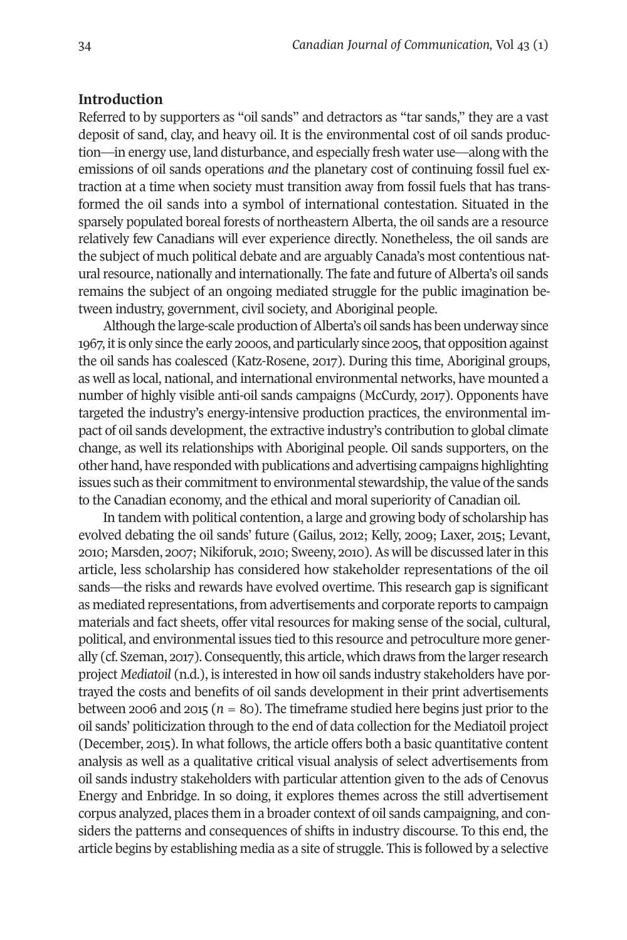## **Introduction**

Referred to by supporters as "oil sands" and detractors as "tar sands," they are a vast deposit of sand, clay, and heavy oil. It is the environmental cost of oil sands production—in energy use, land disturbance, and especially fresh water use—along with the emissions of oil sands operations *and* the planetary cost of continuing fossil fuel extraction at a time when society must transition away from fossil fuels that has transformed the oil sands into a symbol of international contestation. Situated in the sparsely populated boreal forests of northeastern Alberta, the oil sands are a resource relatively few Canadians will ever experience directly. Nonetheless, the oil sands are the subject of much political debate and are arguably Canada's most contentious natural resource, nationally and internationally. The fate and future of Alberta's oil sands remains the subject of an ongoing mediated struggle for the public imagination between industry, government, civil society, and Aboriginal people.

Although the large-scale production of Alberta's oil sands has been underway since 1967, it is only since the early 2000s, and particularly since 2005, that opposition against the oil sands has coalesced (Katz-Rosene, 2017). During this time, Aboriginal groups, as well as local, national, and international environmental networks, have mounted a number of highly visible anti-oil sands campaigns (McCurdy, 2017). Opponents have targeted the industry's energy-intensive production practices, the environmental impact of oil sands development, the extractive industry's contribution to global climate change, as well its relationships with Aboriginal people. Oil sands supporters, on the other hand, have responded with publications and advertising campaigns highlighting issues such as their commitment to environmental stewardship, the value of the sands to the Canadian economy, and the ethical and moral superiority of Canadian oil.

In tandem with political contention, a large and growing body of scholarship has evolved debating the oil sands' future (Gailus, 2012; Kelly, 2009; Laxer, 2015; Levant, 2010; Marsden, 2007; Nikiforuk, 2010; Sweeny, 2010).As will be discussed laterin this article, less scholarship has considered how stakeholder representations of the oil sands—the risks and rewards have evolved overtime. This research gap is significant as mediated representations, from advertisements and corporate reports to campaign materials and fact sheets, offer vital resources for making sense of the social, cultural, political, and environmental issues tied to this resource and petroculture more generally (cf. Szeman, 2017). Consequently, this article, which draws from the larger research project *Mediatoil* (n.d.), is interested in how oil sands industry stakeholders have portrayed the costs and benefits of oil sands development in their print advertisements between 2006 and 2015 ( $n = 80$ ). The timeframe studied here begins just prior to the oil sands' politicization through to the end of data collection for the Mediatoil project (December, 2015). In what follows, the article offers both a basic quantitative content analysis as well as a qualitative critical visual analysis of select advertisements from oil sands industry stakeholders with particular attention given to the ads of Cenovus Energy and Enbridge. In so doing, it explores themes across the still advertisement corpus analyzed, places them in a broader context of oil sands campaigning, and considers the patterns and consequences of shifts in industry discourse. To this end, the article begins by establishing media as a site of struggle. This is followed by a selective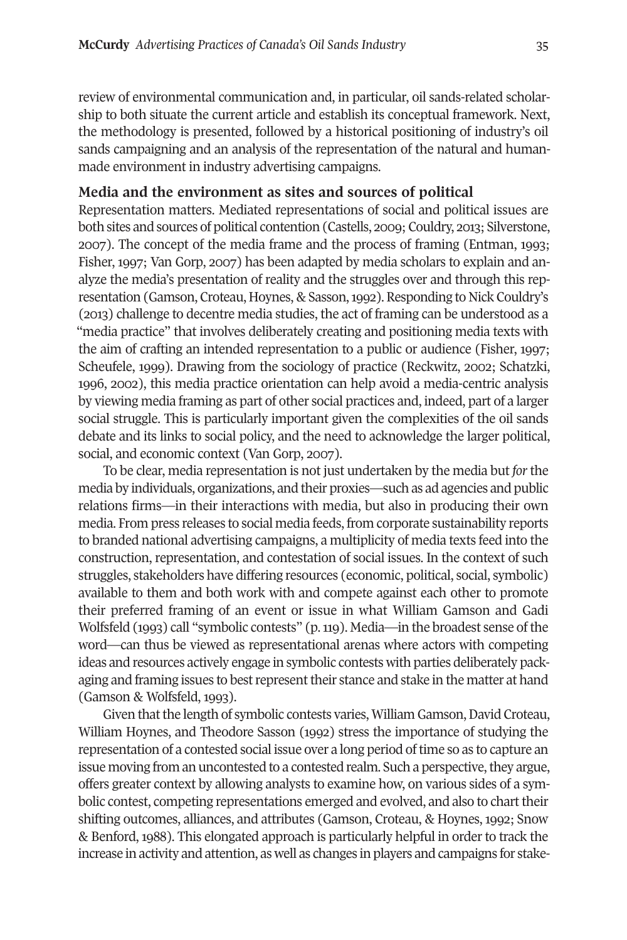review of environmental communication and, in particular, oil sands-related scholarship to both situate the current article and establish its conceptual framework. Next, the methodology is presented, followed by a historical positioning of industry's oil sands campaigning and an analysis of the representation of the natural and humanmade environment in industry advertising campaigns.

#### **Media and the environment as sites and sources of political**

Representation matters. Mediated representations of social and political issues are both sites and sources of political contention (Castells, 2009; Couldry, 2013; Silverstone, 2007). The concept of the media frame and the process of framing (Entman, 1993; Fisher, 1997; Van Gorp, 2007) has been adapted by media scholars to explain and analyze the media's presentation of reality and the struggles over and through this representation (Gamson, Croteau, Hoynes, & Sasson, 1992). Responding to Nick Couldry's (2013) challenge to decentre media studies, the act of framing can be understood as a "media practice" that involves deliberately creating and positioning media texts with the aim of crafting an intended representation to a public or audience (Fisher, 1997; Scheufele, 1999). Drawing from the sociology of practice (Reckwitz, 2002; Schatzki, 1996, 2002), this media practice orientation can help avoid a media-centric analysis by viewing media framing as part of other social practices and, indeed, part of a larger social struggle. This is particularly important given the complexities of the oil sands debate and its links to social policy, and the need to acknowledge the larger political, social, and economic context (Van Gorp, 2007).

To be clear, media representation is not just undertaken by the media but *for*the media by individuals, organizations, and their proxies—such as ad agencies and public relations firms—in their interactions with media, but also in producing their own media. From press releases to social media feeds, from corporate sustainability reports to branded national advertising campaigns, a multiplicity of media texts feed into the construction, representation, and contestation of social issues. In the context of such struggles, stakeholders have differing resources (economic, political, social, symbolic) available to them and both work with and compete against each other to promote their preferred framing of an event or issue in what William Gamson and Gadi Wolfsfeld (1993) call "symbolic contests" (p. 119). Media—in the broadest sense of the word—can thus be viewed as representational arenas where actors with competing ideas and resources actively engage in symbolic contests with parties deliberately packaging and framing issues to best represent their stance and stake in the matter at hand (Gamson & Wolfsfeld, 1993).

Given that the length of symbolic contests varies, William Gamson, David Croteau, William Hoynes, and Theodore Sasson (1992) stress the importance of studying the representation of a contested social issue over a long period oftime so as to capture an issue moving from an uncontested to a contested realm. Such a perspective, they argue, offers greater context by allowing analysts to examine how, on various sides of a symbolic contest, competing representations emerged and evolved, and also to charttheir shifting outcomes, alliances, and attributes (Gamson, Croteau, & Hoynes, 1992; Snow & Benford, 1988). This elongated approach is particularly helpful in order to track the increase in activity and attention, as well as changes in players and campaigns for stake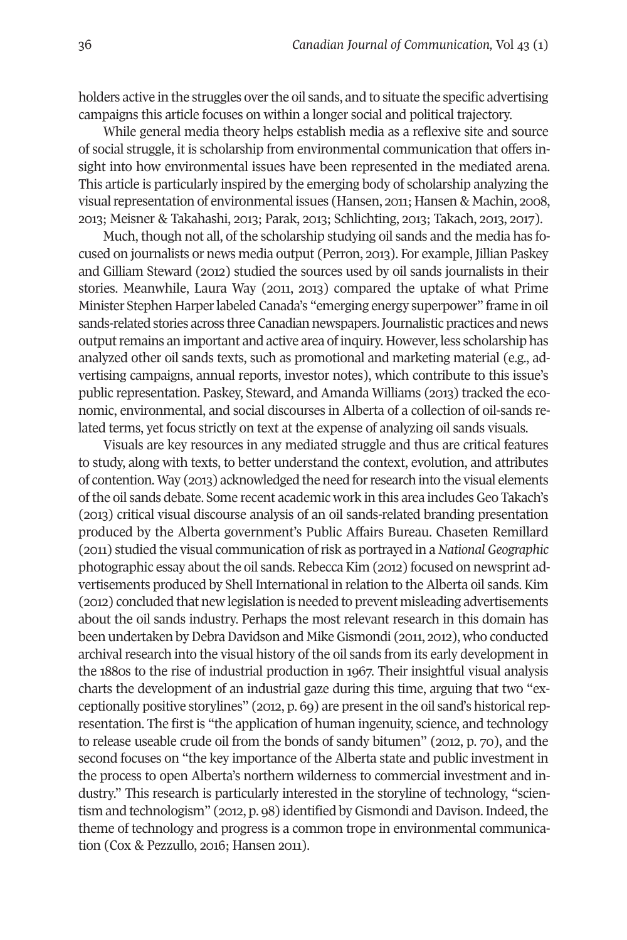holders active in the struggles overthe oil sands, and to situate the specific advertising campaigns this article focuses on within a longer social and political trajectory.

While general media theory helps establish media as a reflexive site and source of social struggle, it is scholarship from environmental communication that offers insight into how environmental issues have been represented in the mediated arena. This article is particularly inspired by the emerging body of scholarship analyzing the visual representation of environmental issues (Hansen, 2011; Hansen & Machin, 2008, 2013; Meisner & Takahashi, 2013; Parak, 2013; Schlichting, 2013; Takach, 2013, 2017).

Much, though not all, of the scholarship studying oil sands and the media has focused on journalists or news media output (Perron, 2013). For example, Jillian Paskey and Gilliam Steward (2012) studied the sources used by oil sands journalists in their stories. Meanwhile, Laura Way (2011, 2013) compared the uptake of what Prime Minister Stephen Harperlabeled Canada's "emerging energy superpower" frame in oil sands-related stories across three Canadian newspapers.Journalistic practices and news output remains an important and active area of inquiry. However, less scholarship has analyzed other oil sands texts, such as promotional and marketing material (e.g., advertising campaigns, annual reports, investor notes), which contribute to this issue's public representation. Paskey, Steward, and Amanda Williams (2013) tracked the economic, environmental, and social discourses in Alberta of a collection of oil-sands related terms, yet focus strictly on text at the expense of analyzing oil sands visuals.

Visuals are key resources in any mediated struggle and thus are critical features to study, along with texts, to better understand the context, evolution, and attributes of contention. Way (2013) acknowledged the need forresearch into the visual elements ofthe oil sands debate. Some recent academic work in this area includes Geo Takach's (2013) critical visual discourse analysis of an oil sands-related branding presentation produced by the Alberta government's Public Affairs Bureau. Chaseten Remillard (2011) studied the visual communication ofrisk as portrayed in a*National Geographic* photographic essay about the oil sands. Rebecca Kim (2012) focused on newsprint advertisements produced by Shell International in relation to the Alberta oil sands. Kim (2012) concluded that new legislation is needed to prevent misleading advertisements about the oil sands industry. Perhaps the most relevant research in this domain has been undertaken by Debra Davidson and Mike Gismondi (2011, 2012), who conducted archival research into the visual history of the oil sands from its early development in the 1880s to the rise of industrial production in 1967. Their insightful visual analysis charts the development of an industrial gaze during this time, arguing that two "exceptionally positive storylines" (2012, p. 69) are present in the oil sand's historicalrepresentation. The first is "the application of human ingenuity, science, and technology to release useable crude oil from the bonds of sandy bitumen" (2012, p. 70), and the second focuses on "the key importance of the Alberta state and public investment in the process to open Alberta's northern wilderness to commercial investment and industry." This research is particularly interested in the storyline of technology, "scientism and technologism" (2012, p. 98) identified by Gismondi and Davison. Indeed, the theme of technology and progress is a common trope in environmental communication (Cox & Pezzullo, 2016; Hansen 2011).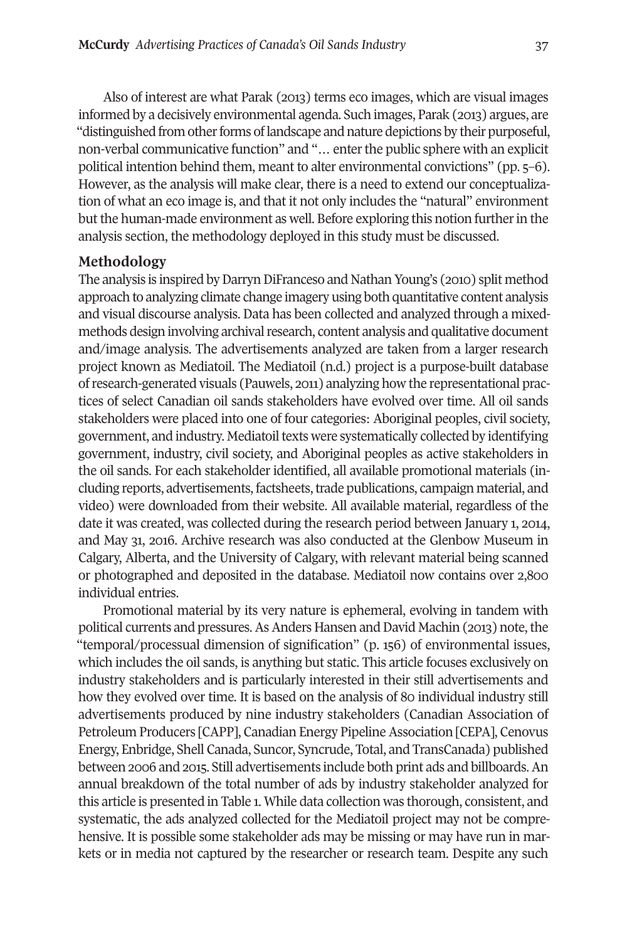Also of interest are what Parak (2013) terms eco images, which are visual images informed by a decisively environmental agenda. Such images, Parak (2013) argues, are "distinguished from other forms of landscape and nature depictions by their purposeful, non-verbal communicative function" and "... enter the public sphere with an explicit political intention behind them, meant to alter environmental convictions" (pp. 5–6). However, as the analysis will make clear, there is a need to extend our conceptualization of what an eco image is, and that it not only includes the "natural" environment but the human-made environment as well. Before exploring this notion further in the analysis section, the methodology deployed in this study must be discussed.

## **Methodology**

The analysis is inspired by Darryn DiFranceso and Nathan Young's (2010) split method approach to analyzing climate change imagery using both quantitative content analysis and visual discourse analysis. Data has been collected and analyzed through a mixedmethods design involving archival research, content analysis and qualitative document and/image analysis. The advertisements analyzed are taken from a larger research project known as Mediatoil. The Mediatoil (n.d.) project is a purpose-built database ofresearch-generated visuals (Pauwels, 2011) analyzing how the representational practices of select Canadian oil sands stakeholders have evolved over time. All oil sands stakeholders were placed into one of four categories: Aboriginal peoples, civil society, government, and industry. Mediatoil texts were systematically collected by identifying government, industry, civil society, and Aboriginal peoples as active stakeholders in the oil sands. For each stakeholder identified, all available promotional materials (including reports, advertisements, factsheets, trade publications, campaign material, and video) were downloaded from their website. All available material, regardless of the date it was created, was collected during the research period between January 1, 2014, and May 31, 2016. Archive research was also conducted at the Glenbow Museum in Calgary, Alberta, and the University of Calgary, with relevant material being scanned or photographed and deposited in the database. Mediatoil now contains over 2,800 individual entries.

Promotional material by its very nature is ephemeral, evolving in tandem with political currents and pressures. As Anders Hansen and David Machin (2013) note, the "temporal/processual dimension of signification" (p. 156) of environmental issues, which includes the oil sands, is anything but static. This article focuses exclusively on industry stakeholders and is particularly interested in their still advertisements and how they evolved over time. It is based on the analysis of 80 individual industry still advertisements produced by nine industry stakeholders (Canadian Association of Petroleum Producers [CAPP], Canadian Energy Pipeline Association [CEPA], Cenovus Energy, Enbridge, Shell Canada, Suncor, Syncrude, Total, and TransCanada) published between 2006 and 2015. Still advertisements include both print ads and billboards.An annual breakdown of the total number of ads by industry stakeholder analyzed for this article is presented in Table 1. While data collection was thorough, consistent, and systematic, the ads analyzed collected for the Mediatoil project may not be comprehensive. It is possible some stakeholder ads may be missing or may have run in markets or in media not captured by the researcher or research team. Despite any such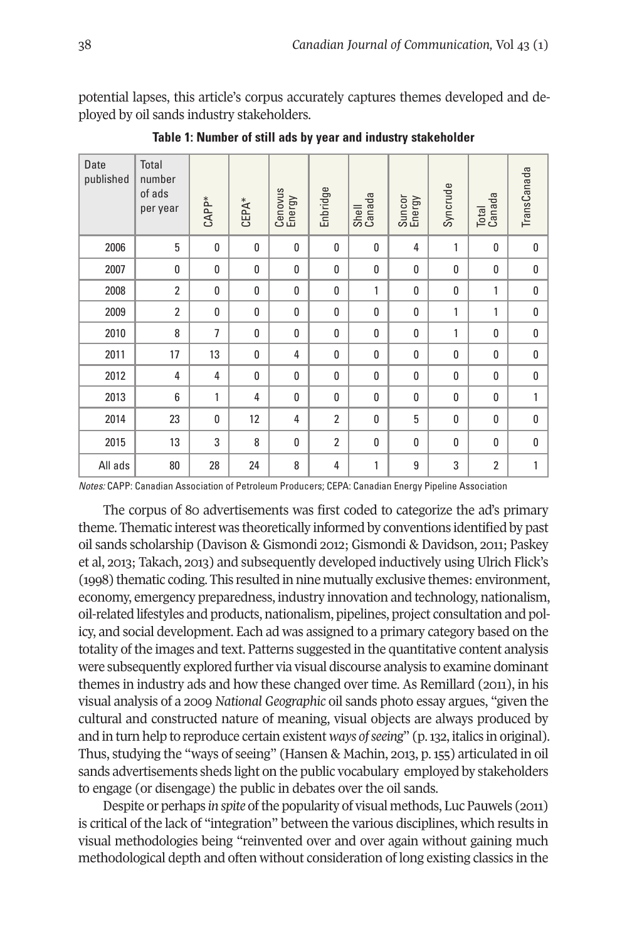potential lapses, this article's corpus accurately captures themes developed and deployed by oil sands industry stakeholders.

| Date<br>published | Total<br>number<br>of ads<br>per year | $CAP**$        | CEPA*    | Cenovus<br>Energy | Enbridge       | Shell<br>Canada | Suncor<br>Energy | Syncrude | Total<br>Canada | TransCanada |
|-------------------|---------------------------------------|----------------|----------|-------------------|----------------|-----------------|------------------|----------|-----------------|-------------|
| 2006              | 5                                     | 0              | $\bf{0}$ | 0                 | 0              | 0               | 4                | 1        | 0               | 0           |
| 2007              | 0                                     | 0              | $\bf{0}$ | 0                 | 0              | 0               | 0                | 0        | 0               | 0           |
| 2008              | $\overline{2}$                        | 0              | $\bf{0}$ | 0                 | 0              | 1               | 0                | 0        | 1               | 0           |
| 2009              | $\overline{2}$                        | 0              | $\bf{0}$ | 0                 | 0              | 0               | 0                | 1        | 1               | 0           |
| 2010              | 8                                     | $\overline{7}$ | $\bf{0}$ | 0                 | 0              | 0               | 0                | 1        | 0               | 0           |
| 2011              | 17                                    | 13             | $\bf{0}$ | 4                 | 0              | 0               | 0                | 0        | 0               | 0           |
| 2012              | 4                                     | 4              | $\bf{0}$ | 0                 | 0              | 0               | 0                | 0        | 0               | 0           |
| 2013              | 6                                     | 1              | 4        | 0                 | 0              | 0               | 0                | 0        | 0               | 1           |
| 2014              | 23                                    | 0              | 12       | 4                 | $\overline{2}$ | 0               | 5                | 0        | 0               | 0           |
| 2015              | 13                                    | 3              | 8        | 0                 | $\overline{2}$ | 0               | 0                | 0        | 0               | 0           |
| All ads           | 80                                    | 28             | 24       | 8                 | 4              | 1               | 9                | 3        | $\overline{2}$  | 1           |

**Table 1: Number of still ads by year and industry stakeholder**

*Notes:* CAPP: Canadian Association of Petroleum Producers; CEPA: Canadian Energy Pipeline Association

The corpus of 80 advertisements was first coded to categorize the ad's primary theme. Thematic interest was theoretically informed by conventions identified by past oil sands scholarship (Davison & Gismondi 2012; Gismondi & Davidson, 2011; Paskey et al, 2013; Takach, 2013) and subsequently developed inductively using Ulrich Flick's (1998) thematic coding. This resulted in nine mutually exclusive themes: environment, economy, emergency preparedness, industry innovation and technology, nationalism, oil-related lifestyles and products, nationalism, pipelines, project consultation and policy, and social development. Each ad was assigned to a primary category based on the totality of the images and text. Patterns suggested in the quantitative content analysis were subsequently explored further via visual discourse analysis to examine dominant themes in industry ads and how these changed over time. As Remillard (2011), in his visual analysis of a 2009 *National Geographic* oil sands photo essay argues, "given the cultural and constructed nature of meaning, visual objects are always produced by and in turn help to reproduce certain existent *ways* of seeing" (p. 132, italics in original). Thus, studying the "ways of seeing" (Hansen & Machin, 2013, p.155) articulated in oil sands advertisements sheds light on the public vocabulary employed by stakeholders to engage (or disengage) the public in debates over the oil sands.

Despite or perhaps *in spite* of the popularity of visual methods, Luc Pauwels (2011) is critical of the lack of "integration" between the various disciplines, which results in visual methodologies being "reinvented over and over again without gaining much methodological depth and often without consideration of long existing classics in the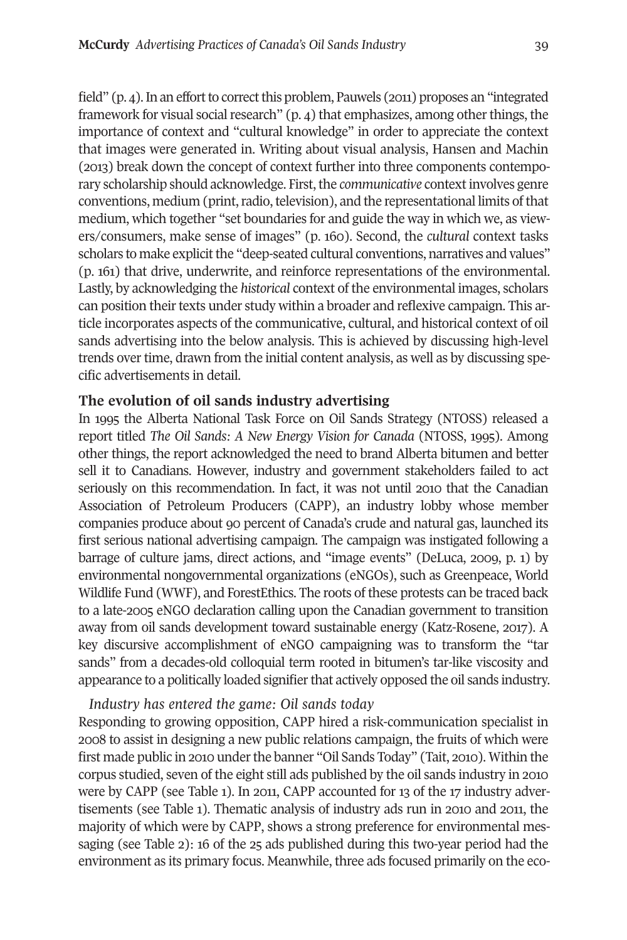field" (p. 4). In an effort to correct this problem, Pauwels (2011) proposes an "integrated framework for visual social research"  $(p, 4)$  that emphasizes, among other things, the importance of context and "cultural knowledge" in order to appreciate the context that images were generated in. Writing about visual analysis, Hansen and Machin (2013) break down the concept of context further into three components contemporary scholarship should acknowledge. First, the *communicative* context involves genre conventions, medium (print, radio, television), and the representational limits of that medium, which together "set boundaries for and guide the way in which we, as viewers/consumers, make sense of images" (p. 160). Second, the *cultural* context tasks scholars to make explicit the "deep-seated cultural conventions, narratives and values" (p. 161) that drive, underwrite, and reinforce representations of the environmental. Lastly, by acknowledging the *historical* context of the environmental images, scholars can position their texts under study within a broader and reflexive campaign. This article incorporates aspects of the communicative, cultural, and historical context of oil sands advertising into the below analysis. This is achieved by discussing high-level trends over time, drawn from the initial content analysis, as well as by discussing specific advertisements in detail.

#### **The evolution of oil sands industry advertising**

In 1995 the Alberta National Task Force on Oil Sands Strategy (NTOSS) released a report titled *The Oil Sands: A New Energy Vision for Canada* (NTOSS, 1995). Among other things, the report acknowledged the need to brand Alberta bitumen and better sell it to Canadians. However, industry and government stakeholders failed to act seriously on this recommendation. In fact, it was not until 2010 that the Canadian Association of Petroleum Producers (CAPP), an industry lobby whose member companies produce about 90 percent of Canada's crude and natural gas, launched its first serious national advertising campaign. The campaign was instigated following a barrage of culture jams, direct actions, and "image events" (DeLuca, 2009, p. 1) by environmental nongovernmental organizations (eNGOs), such as Greenpeace, World Wildlife Fund (WWF), and ForestEthics. The roots of these protests can be traced back to a late-2005 eNGO declaration calling upon the Canadian government to transition away from oil sands development toward sustainable energy (Katz-Rosene, 2017). A key discursive accomplishment of eNGO campaigning was to transform the "tar sands" from a decades-old colloquial term rooted in bitumen's tar-like viscosity and appearance to a politically loaded signifierthat actively opposed the oil sands industry.

#### *Industry has entered the game: Oil sands today*

Responding to growing opposition, CAPP hired a risk-communication specialist in 2008 to assist in designing a new public relations campaign, the fruits of which were first made public in 2010 underthe banner "Oil Sands Today" (Tait, 2010). Within the corpus studied, seven of the eight still ads published by the oil sands industry in 2010 were by CAPP (see Table 1). In 2011, CAPP accounted for 13 of the 17 industry advertisements (see Table 1). Thematic analysis of industry ads run in 2010 and 2011, the majority of which were by CAPP, shows a strong preference for environmental messaging (see Table 2): 16 of the 25 ads published during this two-year period had the environment as its primary focus. Meanwhile, three ads focused primarily on the eco-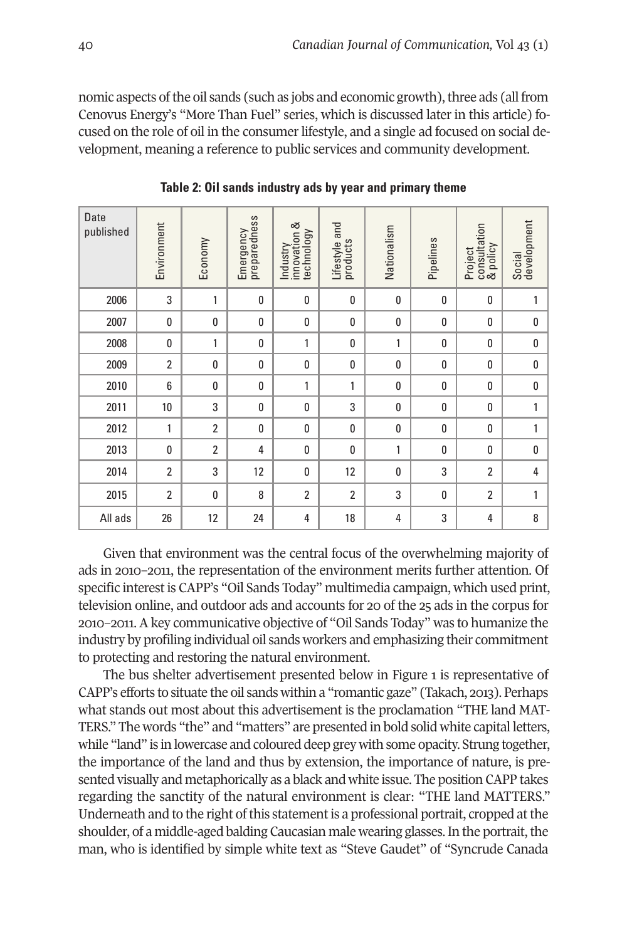nomic aspects of the oil sands (such as jobs and economic growth), three ads (all from Cenovus Energy's "More Than Fuel" series, which is discussed later in this article) focused on the role of oil in the consumer lifestyle, and a single ad focused on social development, meaning a reference to public services and community development.

| Date<br>published | Environment    | Economy        | preparedness<br>Emergency | innovation &<br>technology<br>Industry | Lifestyle and<br>products | Nationalism | Pipelines | consultation<br>& policy<br>Project | Social<br>development |
|-------------------|----------------|----------------|---------------------------|----------------------------------------|---------------------------|-------------|-----------|-------------------------------------|-----------------------|
| 2006              | 3              | 1              | 0                         | 0                                      | 0                         | $\bf{0}$    | 0         | 0                                   | 1                     |
| 2007              | $\mathbf{0}$   | 0              | 0                         | 0                                      | $\bf{0}$                  | 0           | 0         | 0                                   | 0                     |
| 2008              | 0              | 1              | 0                         | 1                                      | 0                         | 1           | 0         | 0                                   | 0                     |
| 2009              | $\overline{2}$ | 0              | 0                         | 0                                      | $\mathbf{0}$              | 0           | 0         | 0                                   | $\mathbf{0}$          |
| 2010              | 6              | 0              | 0                         | 1                                      | 1                         | 0           | 0         | 0                                   | $\mathbf{0}$          |
| 2011              | 10             | 3              | 0                         | 0                                      | 3                         | 0           | 0         | 0                                   | 1                     |
| 2012              | 1              | $\overline{2}$ | 0                         | 0                                      | $\bf{0}$                  | 0           | 0         | 0                                   | 1                     |
| 2013              | 0              | $\overline{2}$ | 4                         | 0                                      | $\bf{0}$                  | 1           | 0         | 0                                   | 0                     |
| 2014              | $\overline{2}$ | 3              | 12                        | 0                                      | 12                        | 0           | 3         | $\overline{2}$                      | 4                     |
| 2015              | $\overline{2}$ | 0              | 8                         | $\overline{2}$                         | $\overline{2}$            | 3           | 0         | $\overline{2}$                      | 1                     |
| All ads           | 26             | 12             | 24                        | 4                                      | 18                        | 4           | 3         | 4                                   | 8                     |

**Table 2: Oil sands industry ads by year and primary theme**

Given that environment was the central focus of the overwhelming majority of ads in 2010–2011, the representation of the environment merits further attention. Of specific interest is CAPP's "Oil Sands Today" multimedia campaign, which used print, television online, and outdoor ads and accounts for 20 of the 25 ads in the corpus for 2010–2011. A key communicative objective of "Oil Sands Today" was to humanize the industry by profiling individual oil sands workers and emphasizing their commitment to protecting and restoring the natural environment.

The bus shelter advertisement presented below in Figure 1 is representative of CAPP's efforts to situate the oil sands within a "romantic gaze" (Takach, 2013). Perhaps what stands out most about this advertisement is the proclamation "THE land MAT-TERS." The words "the" and "matters" are presented in bold solid white capital letters, while "land" is in lowercase and coloured deep grey with some opacity. Strung together, the importance of the land and thus by extension, the importance of nature, is presented visually and metaphorically as a black and white issue. The position CAPP takes regarding the sanctity of the natural environment is clear: "THE land MATTERS." Underneath and to the right of this statement is a professional portrait, cropped at the shoulder, of a middle-aged balding Caucasian male wearing glasses. In the portrait, the man, who is identified by simple white text as "Steve Gaudet" of "Syncrude Canada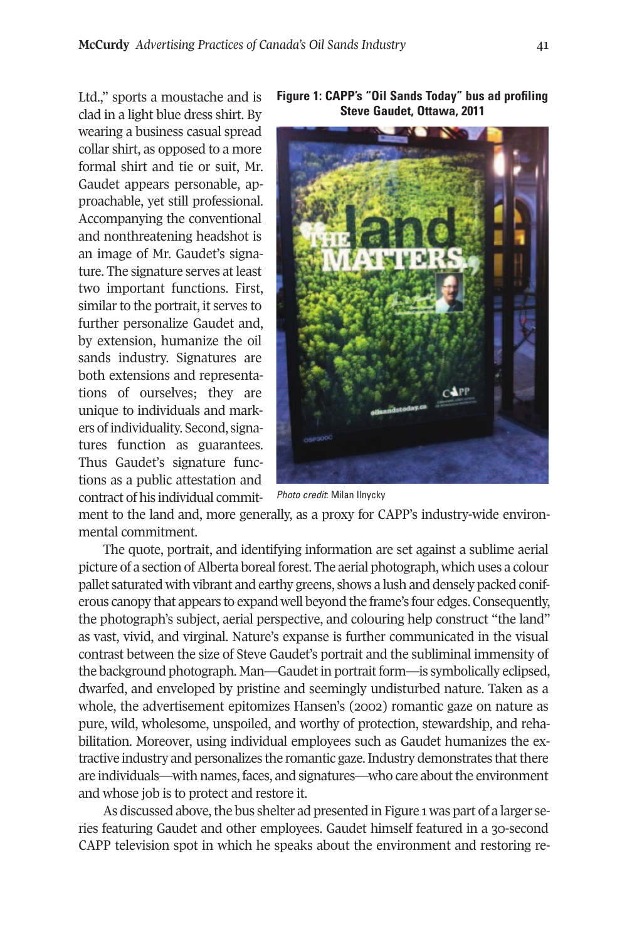Ltd.," sports a moustache and is clad in a light blue dress shirt. By wearing a business casual spread collar shirt, as opposed to a more formal shirt and tie or suit, Mr. Gaudet appears personable, approachable, yet still professional. Accompanying the conventional and nonthreatening headshot is an image of Mr. Gaudet's signature. The signature serves at least two important functions. First, similar to the portrait, it serves to further personalize Gaudet and, by extension, humanize the oil sands industry. Signatures are both extensions and representations of ourselves; they are unique to individuals and markers of individuality. Second, signatures function as guarantees. Thus Gaudet's signature functions as a public attestation and contract of his individual commit-

**Figure 1: CAPP's "Oil Sands Today" bus ad profiling Steve Gaudet, Ottawa, 2011**

*Photo credit*: Milan Ilnycky

ment to the land and, more generally, as a proxy for CAPP's industry-wide environmental commitment.

The quote, portrait, and identifying information are set against a sublime aerial picture of a section of Alberta boreal forest. The aerial photograph, which uses a colour pallet saturated with vibrant and earthy greens, shows a lush and densely packed coniferous canopy that appears to expand well beyond the frame's four edges. Consequently, the photograph's subject, aerial perspective, and colouring help construct "the land" as vast, vivid, and virginal. Nature's expanse is further communicated in the visual contrast between the size of Steve Gaudet's portrait and the subliminal immensity of the background photograph. Man—Gaudet in portrait form—is symbolically eclipsed, dwarfed, and enveloped by pristine and seemingly undisturbed nature. Taken as a whole, the advertisement epitomizes Hansen's (2002) romantic gaze on nature as pure, wild, wholesome, unspoiled, and worthy of protection, stewardship, and rehabilitation. Moreover, using individual employees such as Gaudet humanizes the extractive industry and personalizes the romantic gaze. Industry demonstrates that there are individuals—with names, faces, and signatures—who care about the environment and whose job is to protect and restore it.

As discussed above, the bus shelter ad presented in Figure 1 was part of a larger series featuring Gaudet and other employees. Gaudet himself featured in a 30-second CAPP television spot in which he speaks about the environment and restoring re-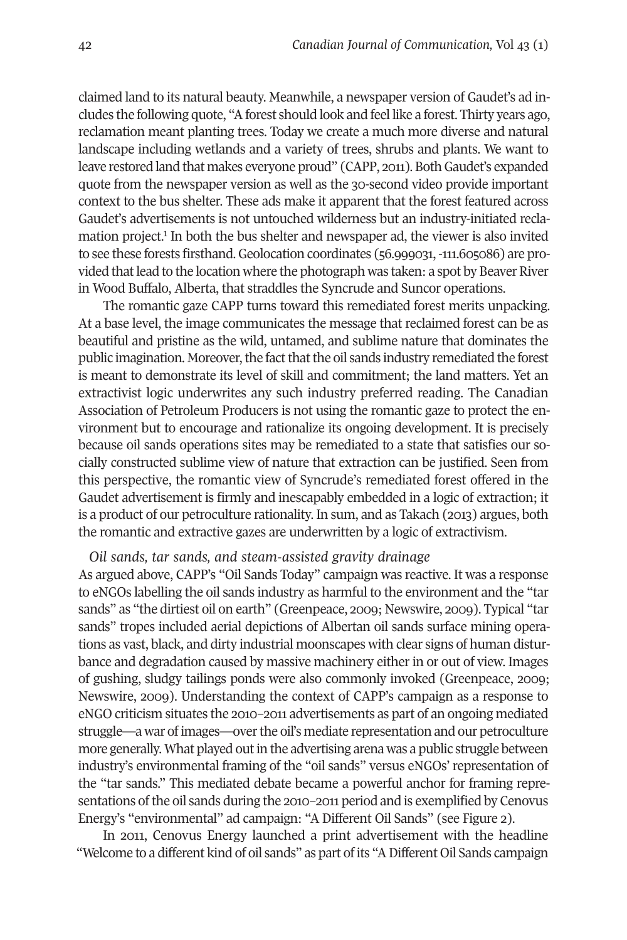claimed land to its natural beauty. Meanwhile, a newspaper version of Gaudet's ad includes the following quote, "Aforest should look and feel like a forest. Thirty years ago, reclamation meant planting trees. Today we create a much more diverse and natural landscape including wetlands and a variety of trees, shrubs and plants. We want to leave restored land that makes everyone proud" (CAPP, 2011). Both Gaudet's expanded quote from the newspaper version as well as the 30-second video provide important context to the bus shelter. These ads make it apparent that the forest featured across Gaudet's advertisements is not untouched wilderness but an industry-initiated reclamation project. <sup>1</sup> In both the bus shelter and newspaper ad, the viewer is also invited to see these forests firsthand. Geolocation coordinates (56.999031, -111.605086) are provided thatlead to the location where the photograph was taken: a spot by BeaverRiver in Wood Buffalo, Alberta, that straddles the Syncrude and Suncor operations.

The romantic gaze CAPP turns toward this remediated forest merits unpacking. At a base level, the image communicates the message that reclaimed forest can be as beautiful and pristine as the wild, untamed, and sublime nature that dominates the public imagination. Moreover, the fact that the oil sands industry remediated the forest is meant to demonstrate its level of skill and commitment; the land matters. Yet an extractivist logic underwrites any such industry preferred reading. The Canadian Association of Petroleum Producers is not using the romantic gaze to protect the environment but to encourage and rationalize its ongoing development. It is precisely because oil sands operations sites may be remediated to a state that satisfies our socially constructed sublime view of nature that extraction can be justified. Seen from this perspective, the romantic view of Syncrude's remediated forest offered in the Gaudet advertisement is firmly and inescapably embedded in a logic of extraction; it is a product of our petroculture rationality. In sum, and as Takach (2013) argues, both the romantic and extractive gazes are underwritten by a logic of extractivism.

#### *Oil sands, tar sands, and steam-assisted gravity drainage*

As argued above, CAPP's "Oil Sands Today" campaign was reactive. It was a response to eNGOs labelling the oil sands industry as harmful to the environment and the "tar sands" as "the dirtiest oil on earth" (Greenpeace, 2009; Newswire, 2009). Typical "tar sands" tropes included aerial depictions of Albertan oil sands surface mining operations as vast, black, and dirty industrial moonscapes with clear signs of human disturbance and degradation caused by massive machinery either in or out of view. Images of gushing, sludgy tailings ponds were also commonly invoked (Greenpeace, 2009; Newswire, 2009). Understanding the context of CAPP's campaign as a response to eNGO criticism situates the 2010–2011 advertisements as part of an ongoing mediated struggle—a war of images—overthe oil's mediate representation and our petroculture more generally. What played outin the advertising arena was a public struggle between industry's environmental framing of the "oil sands" versus eNGOs' representation of the "tar sands." This mediated debate became a powerful anchor for framing representations ofthe oil sands during the 2010–2011 period and is exemplified by Cenovus Energy's "environmental" ad campaign: "A Different Oil Sands" (see Figure 2).

In 2011, Cenovus Energy launched a print advertisement with the headline "Welcome to a different kind of oil sands" as part of its "ADifferent Oil Sands campaign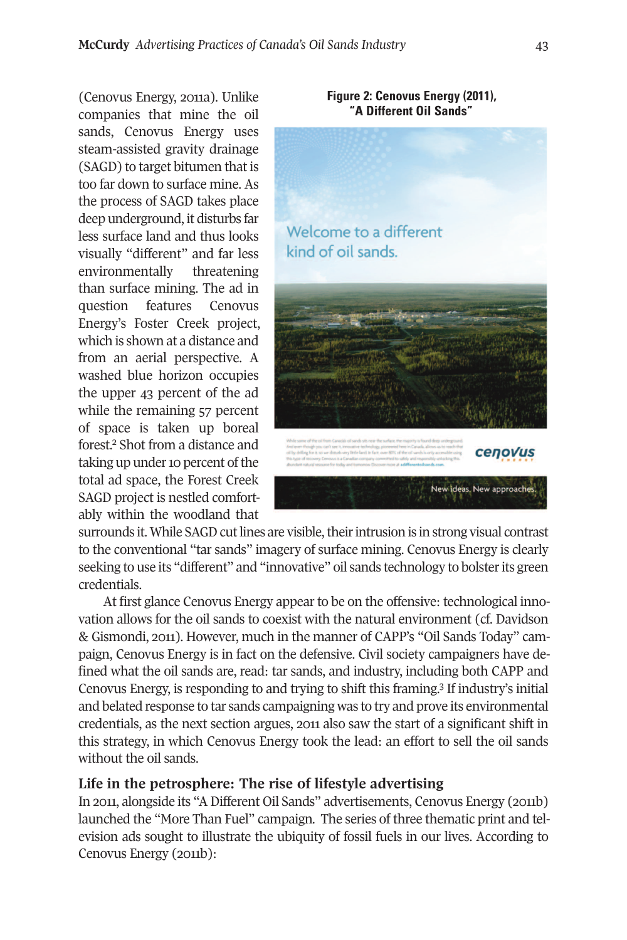(Cenovus Energy, 2011a). Unlike companies that mine the oil sands, Cenovus Energy uses steam-assisted gravity drainage (SAGD) to target bitumen that is too far down to surface mine. As the process of SAGD takes place deep underground, it disturbs far less surface land and thus looks visually "different" and far less environmentally threatening than surface mining. The ad in question features Cenovus Energy's Foster Creek project, which is shown at a distance and from an aerial perspective. A washed blue horizon occupies the upper 43 percent of the ad while the remaining 57 percent of space is taken up boreal forest. <sup>2</sup> Shot from a distance and taking up under 10 percent of the total ad space, the Forest Creek SAGD project is nestled comfortably within the woodland that



surrounds it. While SAGD cut lines are visible, their intrusion is in strong visual contrast to the conventional "tar sands" imagery of surface mining. Cenovus Energy is clearly seeking to use its "different" and "innovative" oil sands technology to bolsterits green credentials.

At first glance Cenovus Energy appear to be on the offensive: technological innovation allows for the oil sands to coexist with the natural environment (cf. Davidson & Gismondi, 2011). However, much in the manner of CAPP's "Oil Sands Today" campaign, Cenovus Energy is in fact on the defensive. Civil society campaigners have defined what the oil sands are, read: tar sands, and industry, including both CAPP and Cenovus Energy, is responding to and trying to shift this framing. <sup>3</sup> If industry's initial and belated response to tar sands campaigning was to try and prove its environmental credentials, as the next section argues, 2011 also saw the start of a significant shift in this strategy, in which Cenovus Energy took the lead: an effort to sell the oil sands without the oil sands.

# **Life in the petrosphere: The rise of lifestyle advertising**

In 2011, alongside its "A Different Oil Sands" advertisements, Cenovus Energy (2011b) launched the "More Than Fuel" campaign*.* The series of three thematic print and television ads sought to illustrate the ubiquity of fossil fuels in our lives. According to Cenovus Energy (2011b):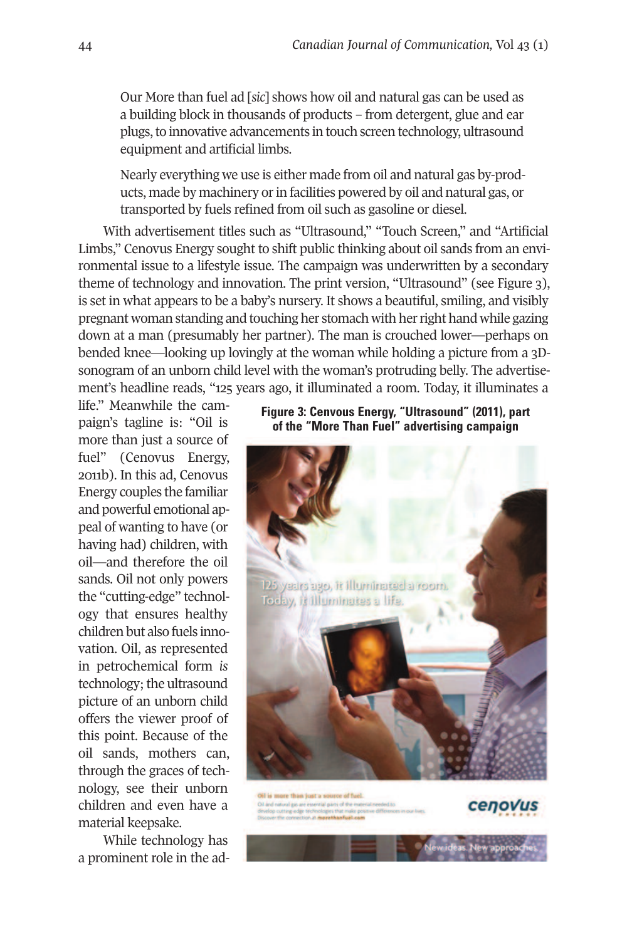Our More than fuel ad [*sic*] shows how oil and natural gas can be used as a building block in thousands of products – from detergent, glue and ear plugs, to innovative advancements in touch screen technology, ultrasound equipment and artificial limbs.

Nearly everything we use is either made from oil and natural gas by-products, made by machinery or in facilities powered by oil and natural gas, or transported by fuels refined from oil such as gasoline or diesel.

With advertisement titles such as "Ultrasound," "Touch Screen," and "Artificial Limbs," Cenovus Energy sought to shift public thinking about oil sands from an environmental issue to a lifestyle issue. The campaign was underwritten by a secondary theme of technology and innovation. The print version, "Ultrasound" (see Figure 3), is set in what appears to be a baby's nursery. It shows a beautiful, smiling, and visibly pregnant woman standing and touching her stomach with herright hand while gazing down at a man (presumably her partner). The man is crouched lower—perhaps on bended knee—looking up lovingly at the woman while holding a picture from a 3Dsonogram of an unborn child level with the woman's protruding belly. The advertisement's headline reads, "125 years ago, it illuminated a room. Today, it illuminates a

life." Meanwhile the campaign's tagline is: "Oil is more than just a source of fuel" (Cenovus Energy, 2011b). In this ad, Cenovus Energy couples the familiar and powerful emotional appeal of wanting to have (or having had) children, with oil—and therefore the oil sands. Oil not only powers the "cutting-edge" technology that ensures healthy children but also fuels innovation. Oil, as represented in petrochemical form *is* technology; the ultrasound picture of an unborn child offers the viewer proof of this point. Because of the oil sands, mothers can, through the graces of technology, see their unborn children and even have a material keepsake.

While technology has a prominent role in the ad-

#### **Figure 3: Cenvous Energy, "Ultrasound" (2011), part of the "More Than Fuel" advertising campaign**



ral gas are essential parts of the **CenoVus**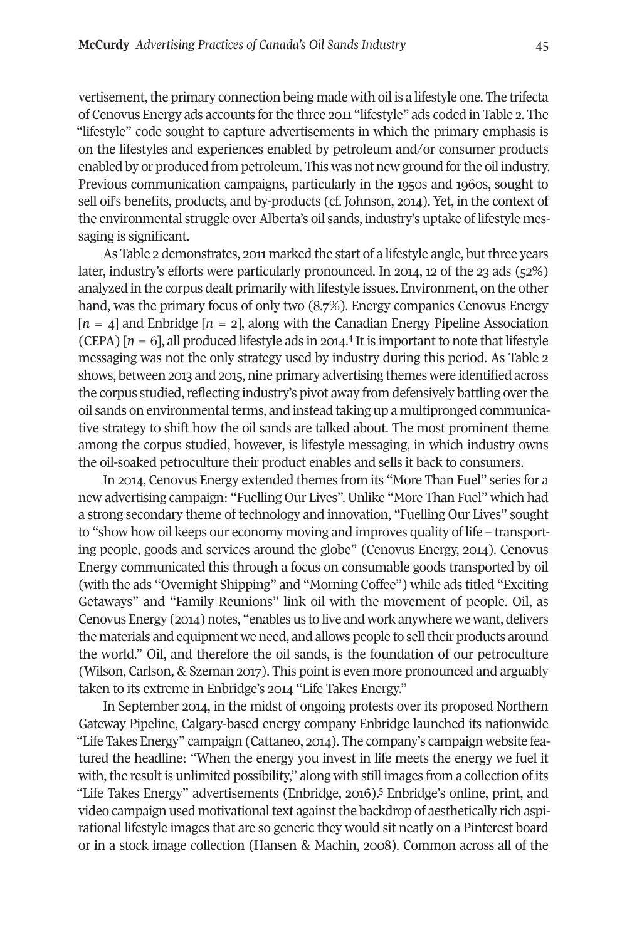vertisement, the primary connection being made with oil is a lifestyle one. The trifecta of Cenovus Energy ads accounts forthe three 2011 "lifestyle" ads coded in Table 2. The "lifestyle" code sought to capture advertisements in which the primary emphasis is on the lifestyles and experiences enabled by petroleum and/or consumer products enabled by or produced from petroleum. This was not new ground forthe oil industry. Previous communication campaigns, particularly in the 1950s and 1960s, sought to sell oil's benefits, products, and by-products (cf. Johnson, 2014). Yet, in the context of the environmental struggle over Alberta's oil sands, industry's uptake of lifestyle messaging is significant.

As Table 2 demonstrates, 2011 marked the start of a lifestyle angle, but three years later, industry's efforts were particularly pronounced. In 2014, 12 of the 23 ads (52%) analyzed in the corpus dealt primarily with lifestyle issues. Environment, on the other hand, was the primary focus of only two (8.7%). Energy companies Cenovus Energy [*n* = 4] and Enbridge [*n* = 2], along with the Canadian Energy Pipeline Association  $(CEPA)$  [ $n = 6$ ], all produced lifestyle ads in 2014.<sup>4</sup> It is important to note that lifestyle messaging was not the only strategy used by industry during this period. As Table 2 shows, between 2013 and 2015, nine primary advertising themes were identified across the corpus studied, reflecting industry's pivot away from defensively battling over the oil sands on environmental terms, and instead taking up a multipronged communicative strategy to shift how the oil sands are talked about. The most prominent theme among the corpus studied, however, is lifestyle messaging, in which industry owns the oil-soaked petroculture their product enables and sells it back to consumers.

In 2014, Cenovus Energy extended themes from its "More Than Fuel" series for a new advertising campaign: "Fuelling Our Lives". Unlike "More Than Fuel" which had a strong secondary theme of technology and innovation, "Fuelling Our Lives" sought to "show how oil keeps our economy moving and improves quality of life – transporting people, goods and services around the globe" (Cenovus Energy, 2014). Cenovus Energy communicated this through a focus on consumable goods transported by oil (with the ads "Overnight Shipping" and "Morning Coffee") while ads titled "Exciting Getaways" and "Family Reunions" link oil with the movement of people. Oil, as Cenovus Energy (2014) notes, "enables us to live and work anywhere we want, delivers the materials and equipment we need, and allows people to selltheir products around the world." Oil, and therefore the oil sands, is the foundation of our petroculture (Wilson, Carlson, & Szeman 2017). This point is even more pronounced and arguably taken to its extreme in Enbridge's 2014 "Life Takes Energy."

In September 2014, in the midst of ongoing protests over its proposed Northern Gateway Pipeline, Calgary-based energy company Enbridge launched its nationwide "Life Takes Energy" campaign (Cattaneo, 2014). The company's campaign website featured the headline: "When the energy you invest in life meets the energy we fuel it with, the result is unlimited possibility," along with still images from a collection of its "Life Takes Energy" advertisements (Enbridge, 2016). <sup>5</sup> Enbridge's online, print, and video campaign used motivational text against the backdrop of aesthetically rich aspirational lifestyle images that are so generic they would sit neatly on a Pinterest board or in a stock image collection (Hansen & Machin, 2008). Common across all of the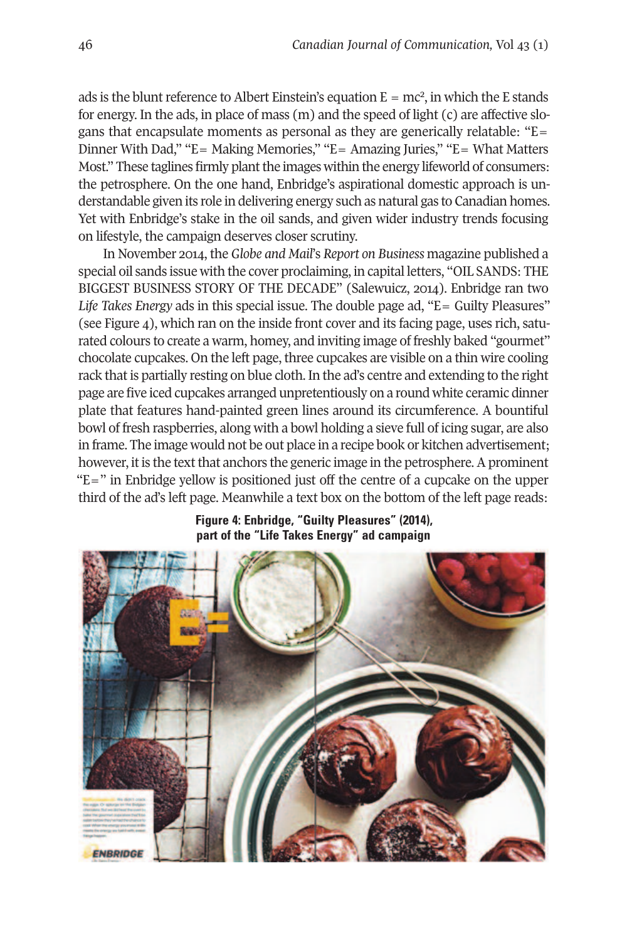ads is the blunt reference to Albert Einstein's equation  $E = mc^2$ , in which the E stands for energy. In the ads, in place of mass (m) and the speed of light (c) are affective slogans that encapsulate moments as personal as they are generically relatable: "E= Dinner With Dad," "E= Making Memories," "E= Amazing Juries," "E= What Matters Most." These taglines firmly plant the images within the energy lifeworld of consumers: the petrosphere. On the one hand, Enbridge's aspirational domestic approach is understandable given its role in delivering energy such as natural gas to Canadian homes. Yet with Enbridge's stake in the oil sands, and given wider industry trends focusing on lifestyle, the campaign deserves closer scrutiny.

In November 2014, the *Globe and Mail*'s *Report on Business* magazine published a special oil sands issue with the cover proclaiming, in capital letters, "OIL SANDS: THE BIGGEST BUSINESS STORY OF THE DECADE" (Salewuicz, 2014). Enbridge ran two *Life Takes Energy* ads in this special issue. The double page ad, "E= Guilty Pleasures" (see Figure 4), which ran on the inside front cover and its facing page, uses rich, saturated colours to create a warm, homey, and inviting image of freshly baked "gourmet" chocolate cupcakes. On the left page, three cupcakes are visible on a thin wire cooling rack that is partially resting on blue cloth. In the ad's centre and extending to the right page are five iced cupcakes arranged unpretentiously on a round white ceramic dinner plate that features hand-painted green lines around its circumference. A bountiful bowl of fresh raspberries, along with a bowl holding a sieve full of icing sugar, are also in frame. The image would not be out place in a recipe book or kitchen advertisement; however, it is the text that anchors the generic image in the petrosphere. A prominent "E=" in Enbridge yellow is positioned just off the centre of a cupcake on the upper third of the ad's left page. Meanwhile a text box on the bottom of the left page reads:



**Figure 4: Enbridge, "Guilty Pleasures" (2014), part of the "Life Takes Energy" ad campaign**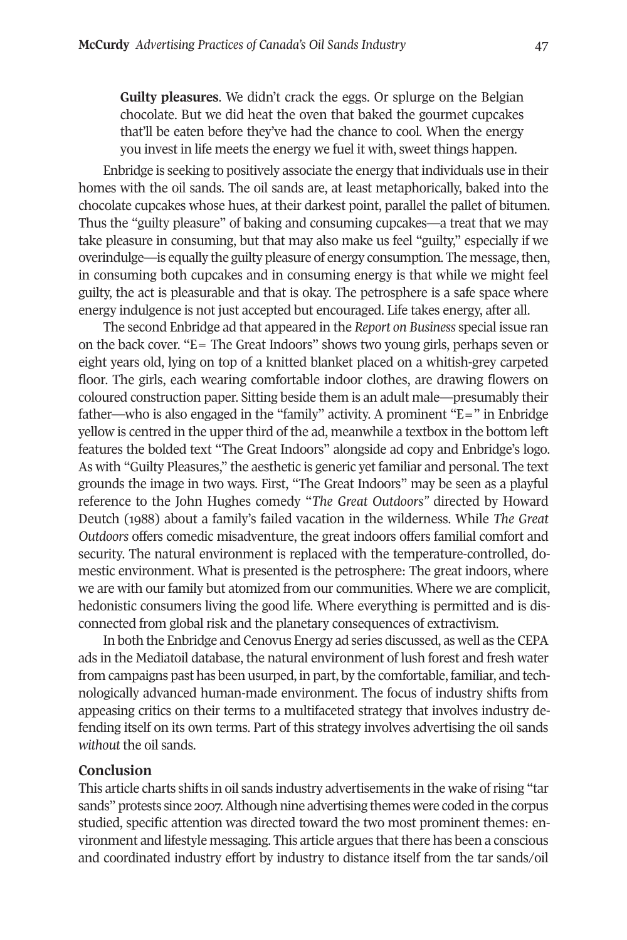**Guilty pleasures**. We didn't crack the eggs. Or splurge on the Belgian chocolate. But we did heat the oven that baked the gourmet cupcakes that'll be eaten before they've had the chance to cool. When the energy you invest in life meets the energy we fuel it with, sweet things happen.

Enbridge is seeking to positively associate the energy that individuals use in their homes with the oil sands. The oil sands are, at least metaphorically, baked into the chocolate cupcakes whose hues, at their darkest point, parallel the pallet of bitumen. Thus the "guilty pleasure" of baking and consuming cupcakes—a treat that we may take pleasure in consuming, but that may also make us feel "guilty," especially if we overindulge—is equally the guilty pleasure of energy consumption. The message, then, in consuming both cupcakes and in consuming energy is that while we might feel guilty, the act is pleasurable and that is okay. The petrosphere is a safe space where energy indulgence is not just accepted but encouraged. Life takes energy, after all.

The second Enbridge ad that appeared in the *Report on Business* special issue ran on the back cover. "E= The Great Indoors" shows two young girls, perhaps seven or eight years old, lying on top of a knitted blanket placed on a whitish-grey carpeted floor. The girls, each wearing comfortable indoor clothes, are drawing flowers on coloured construction paper. Sitting beside them is an adult male—presumably their father—who is also engaged in the "family" activity. A prominent "E=" in Enbridge yellow is centred in the upper third of the ad, meanwhile a textbox in the bottom left features the bolded text "The Great Indoors" alongside ad copy and Enbridge's logo. As with "Guilty Pleasures," the aesthetic is generic yet familiar and personal. The text grounds the image in two ways. First, "The Great Indoors" may be seen as a playful reference to the John Hughes comedy "*The Great Outdoors"* directed by Howard Deutch (1988) about a family's failed vacation in the wilderness. While *The Great Outdoors* offers comedic misadventure, the great indoors offers familial comfort and security. The natural environment is replaced with the temperature-controlled, domestic environment. What is presented is the petrosphere: The great indoors, where we are with our family but atomized from our communities. Where we are complicit, hedonistic consumers living the good life. Where everything is permitted and is disconnected from global risk and the planetary consequences of extractivism.

In both the Enbridge and Cenovus Energy ad series discussed, as well as the CEPA ads in the Mediatoil database, the natural environment of lush forest and fresh water from campaigns past has been usurped, in part, by the comfortable, familiar, and technologically advanced human-made environment. The focus of industry shifts from appeasing critics on their terms to a multifaceted strategy that involves industry defending itself on its own terms. Part of this strategy involves advertising the oil sands *without* the oil sands.

### **Conclusion**

This article charts shifts in oil sands industry advertisements in the wake ofrising "tar sands" protests since 2007.Although nine advertising themes were coded in the corpus studied, specific attention was directed toward the two most prominent themes: environment and lifestyle messaging. This article argues that there has been a conscious and coordinated industry effort by industry to distance itself from the tar sands/oil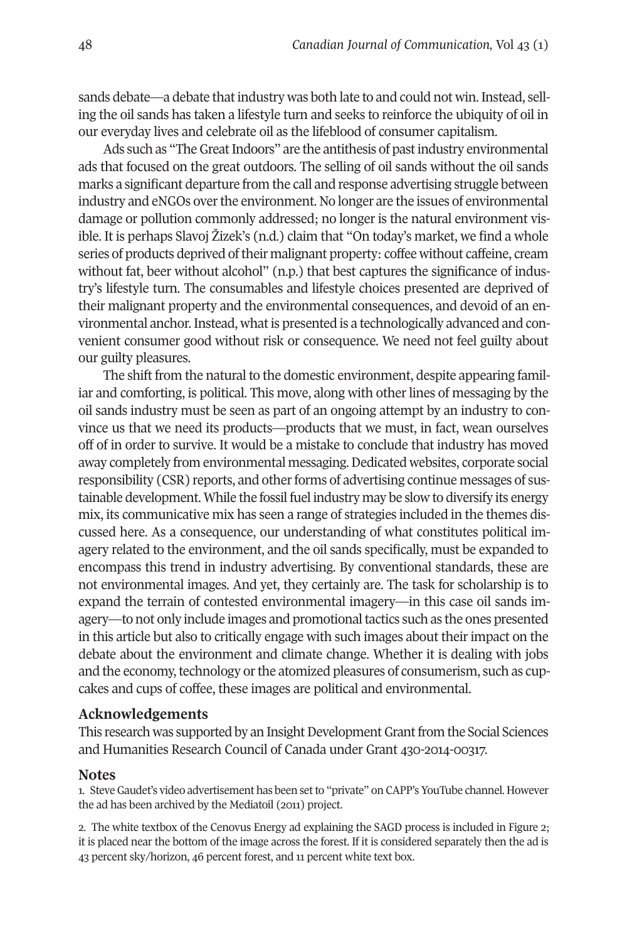sands debate—a debate that industry was both late to and could not win. Instead, selling the oil sands has taken a lifestyle turn and seeks to reinforce the ubiquity of oil in our everyday lives and celebrate oil as the lifeblood of consumer capitalism.

Ads such as "The Great Indoors" are the antithesis of past industry environmental ads that focused on the great outdoors. The selling of oil sands without the oil sands marks a significant departure from the call and response advertising struggle between industry and eNGOs over the environment. No longer are the issues of environmental damage or pollution commonly addressed; no longer is the natural environment visible. It is perhaps Slavoj Žizek's (n.d.) claim that "On today's market, we find a whole series of products deprived of their malignant property: coffee without caffeine, cream without fat, beer without alcohol" (n.p.) that best captures the significance of industry's lifestyle turn. The consumables and lifestyle choices presented are deprived of their malignant property and the environmental consequences, and devoid of an environmental anchor.Instead, whatis presented is a technologically advanced and convenient consumer good without risk or consequence. We need not feel guilty about our guilty pleasures.

The shift from the natural to the domestic environment, despite appearing familiar and comforting, is political. This move, along with other lines of messaging by the oil sands industry must be seen as part of an ongoing attempt by an industry to convince us that we need its products—products that we must, in fact, wean ourselves off of in order to survive. It would be a mistake to conclude that industry has moved away completely from environmental messaging. Dedicated websites, corporate social responsibility (CSR) reports, and other forms of advertising continue messages of sustainable development. While the fossil fuel industry may be slow to diversify its energy mix, its communicative mix has seen a range of strategies included in the themes discussed here. As a consequence, our understanding of what constitutes political imagery related to the environment, and the oil sands specifically, must be expanded to encompass this trend in industry advertising. By conventional standards, these are not environmental images. And yet, they certainly are. The task for scholarship is to expand the terrain of contested environmental imagery—in this case oil sands imagery—to not only include images and promotionaltactics such as the ones presented in this article but also to critically engage with such images about their impact on the debate about the environment and climate change. Whether it is dealing with jobs and the economy, technology or the atomized pleasures of consumerism, such as cupcakes and cups of coffee, these images are political and environmental.

# **Acknowledgements**

This research was supported by an Insight Development Grant from the Social Sciences and Humanities Research Council of Canada under Grant 430-2014-00317.

#### **Notes**

1. SteveGaudet's video advertisement has been setto "private" on CAPP's YouTube channel. However the ad has been archived by the Mediatoil (2011) project.

2. The white textbox of the Cenovus Energy ad explaining the SAGD process is included in Figure 2; it is placed near the bottom of the image across the forest. If it is considered separately then the ad is 43 percent sky/horizon, 46 percent forest, and 11 percent white text box.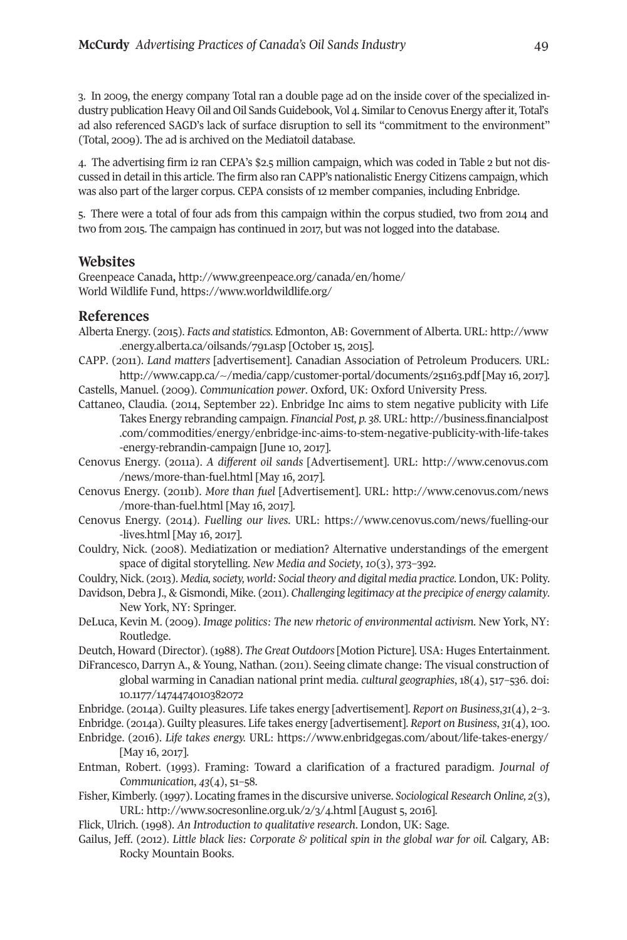3. In 2009, the energy company Total ran a double page ad on the inside cover of the specialized industry publication Heavy Oil and Oil Sands Guidebook, Vol 4. Similar to Cenovus Energy after it, Total's ad also referenced SAGD's lack of surface disruption to sell its "commitment to the environment" (Total, 2009). The ad is archived on the Mediatoil database.

4. The advertising firm i2 ran CEPA's \$2.5 million campaign, which was coded in Table 2 but not discussed in detail in this article. The firm also ran CAPP's nationalistic Energy Citizens campaign, which was also part of the larger corpus. CEPA consists of 12 member companies, including Enbridge.

5. There were a total of four ads from this campaign within the corpus studied, two from 2014 and two from 2015. The campaign has continued in 2017, but was not logged into the database.

#### **Websites**

Greenpeace Canada**,** [http://www.greenpeace.org/canada/en/home/](http://www.greenpeace.org/canada/en/home) World Wildlife Fund, <https://www.worldwildlife.org/>

## **References**

- Alberta Energy. (2015). *Facts and statistics.* Edmonton, AB: Government of Alberta. URL: [http://www](http://www.energy.alberta.ca/oilsands/791.asp) [.energy.alberta.ca/oilsands/791.asp](http://www.energy.alberta.ca/oilsands/791.asp) [October 15, 2015].
- CAPP. (2011). *Land matters* [advertisement]. Canadian Association of Petroleum Producers. URL: <http://www.capp.ca/~/media/capp/customer-portal/documents/251163.pdf> [May 16, 2017].

Castells, Manuel. (2009). *Communication power*. Oxford, UK: Oxford University Press.

- Cattaneo, Claudia. (2014, September 22). Enbridge Inc aims to stem negative publicity with Life Takes Energy rebranding campaign. *Financial Post, p. 38.* URL: [http://business.financialpost](http://business.financialpost.com/commodities/energy/enbridge-inc-aims-to-stem-negative-publicity-with-life-takes-energy-rebrandin-campaign) [.com/commodities/energy/enbridge-inc-aims-to-stem-negative-publicity-with-life-takes](http://business.financialpost.com/commodities/energy/enbridge-inc-aims-to-stem-negative-publicity-with-life-takes-energy-rebrandin-campaign) [-energy-rebrandin-campaign](http://business.financialpost.com/commodities/energy/enbridge-inc-aims-to-stem-negative-publicity-with-life-takes-energy-rebrandin-campaign) [June 10, 2017].
- Cenovus Energy. (2011a). *A different oil sands* [Advertisement]. URL: [http://www.cenovus.com](http://www.cenovus.com/news/more-than-fuel.html) [/news/more-than-fuel.html](http://www.cenovus.com/news/more-than-fuel.html) [May 16, 2017].
- Cenovus Energy. (2011b). *More than fuel* [Advertisement]. URL: [http://www.cenovus.com/news](http://www.cenovus.com/news/more-than-fuel.html) [/more-than-fuel.html](http://www.cenovus.com/news/more-than-fuel.html) [May 16, 2017].
- Cenovus Energy. (2014). *Fuelling our lives*. URL: [https://www.cenovus.com/news/fuelling-our](https://www.cenovus.com/news/fuelling-our-lives.html) [-lives.html](https://www.cenovus.com/news/fuelling-our-lives.html) [May 16, 2017].
- Couldry, Nick. (2008). Mediatization or mediation? Alternative understandings of the emergent space of digital storytelling. *New Media and Society*, *10*(3), 373–392.

Couldry, Nick. (2013). *Media,society, world: Social theory and digital media practice*. London,UK: Polity.

- Davidson, Debra J., & Gismondi, Mike. (2011). *Challenging legitimacy at the precipice of energy calamity*. New York, NY: Springer.
- DeLuca, Kevin M. (2009). *Image politics: The new rhetoric of environmental activism*. New York, NY: Routledge.

Deutch, Howard (Director). (1988). *The Great Outdoors*[Motion Picture]. USA: Huges Entertainment.

DiFrancesco, Darryn A., & Young, Nathan. (2011). Seeing climate change: The visual construction of global warming in Canadian national print media. *cultural geographies*, 18(4), 517–536. doi: [10.1177/1474474010382072](http://doi.org/10.1177/1474474010382072)

Enbridge. (2014a). Guilty pleasures. Life takes energy [advertisement]. *Report on Business*,*31*(4), 2–3.

Enbridge. (2014a). Guilty pleasures. Life takes energy [advertisement]. *Report on Business*, *31*(4),100.

- Enbridge. (2016). *Life takes energy.* URL: [https://www.enbridgegas.com/about/life-takes-energy/](https://www.enbridgegas.com/about/life-takes-energy/ ) [May 16, 2017].
- Entman, Robert. (1993). Framing: Toward a clarification of a fractured paradigm. *Journal of Communication*, *43*(4), 51–58.
- Fisher, Kimberly. (1997). Locating frames in the discursive universe. *Sociological Research Online, 2*(3), [URL:](https://www.enbridgegas.com/about/life-takes-energy/ ) <http://www.socresonline.org.uk/2/3/4.html> [August 5, 2016].
- Flick, Ulrich. (1998). *An Introduction to qualitative research*. London, UK: Sage.
- Gailus, Jeff. (2012). *Little black lies: Corporate & political spin in the global war for oil.* Calgary, AB: Rocky Mountain Books.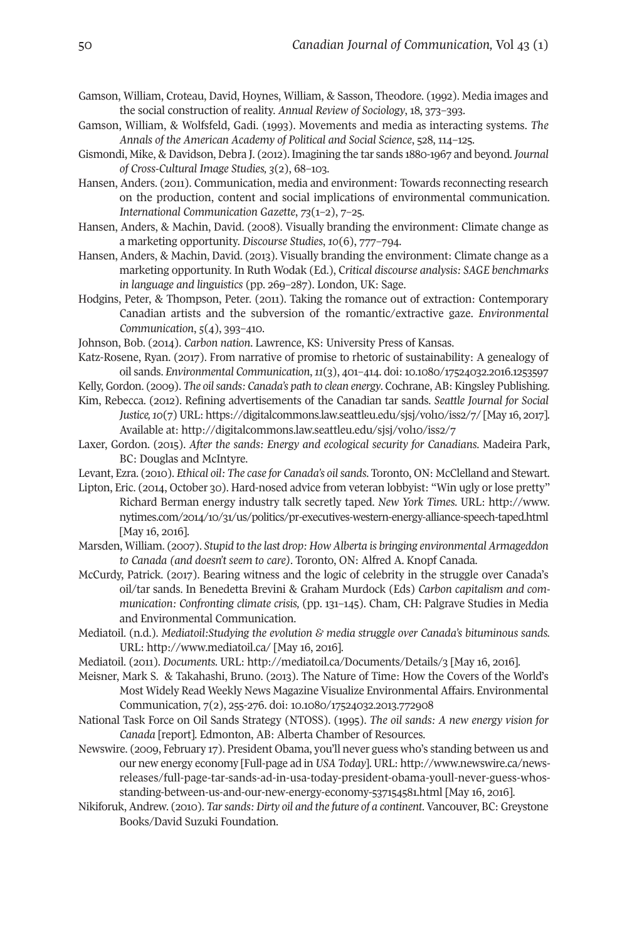- Gamson, William, Croteau, David, Hoynes, William, & Sasson, Theodore. (1992). Media images and the social construction of reality. *Annual Review of Sociology*, 18, 373–393.
- Gamson, William, & Wolfsfeld, Gadi. (1993). Movements and media as interacting systems. *The Annals of the American Academy of Political and Social Science*, 528, 114–125.
- Gismondi, Mike, & Davidson, Debra J. (2012). Imagining the tar sands 1880-1967 and beyond. *Journal of Cross-Cultural Image Studies, 3*(2), 68–103.
- Hansen, Anders. (2011). Communication, media and environment: Towards reconnecting research on the production, content and social implications of environmental communication. *International Communication Gazette*, *73*(1–2), 7–25.
- Hansen, Anders, & Machin, David. (2008). Visually branding the environment: Climate change as a marketing opportunity. *Discourse Studies*, *10*(6), 777–794.
- Hansen, Anders, & Machin, David. (2013). Visually branding the environment: Climate change as a marketing opportunity. In Ruth Wodak (Ed.), C*ritical discourse analysis: SAGE benchmarks in language and linguistics* (pp. 269–287). London, UK: Sage.
- Hodgins, Peter, & Thompson, Peter. (2011). Taking the romance out of extraction: Contemporary Canadian artists and the subversion of the romantic/extractive gaze. *Environmental Communication*, *5*(4), 393–410.
- Johnson, Bob. (2014). *Carbon nation*. Lawrence, KS: University Press of Kansas.
- Katz-Rosene, Ryan. (2017). From narrative of promise to rhetoric of sustainability: A genealogy of oil sands. *Environmental Communication*,*11*(3), 401–414. doi:[10.1080/17524032.2016.1253597](http://doi.org/10.1080/17524032.2016.1253597)
- Kelly, Gordon. (2009). *The oilsands: Canada's path to clean energy*. Cochrane, AB: Kingsley Publishing.
- Kim, Rebecca. (2012). Refining advertisements of the Canadian tar sands. *Seattle Journal for Social Justice,10*(7)URL: <https://digitalcommons.law.seattleu.edu/sjsj/vol10/iss2/7/> [May 16, 2017]. Available at: <http://digitalcommons.law.seattleu.edu/sjsj/vol10/iss2/7>
- Laxer, Gordon. (2015). *After the sands: Energy and ecological security for Canadians*. Madeira Park, BC: Douglas and McIntyre.
- Levant, Ezra. (2010). *Ethical oil: The case for Canada's oilsands*. Toronto, ON: McClelland and Stewart.
- Lipton, Eric. (2014, October 30). Hard-nosed advice from veteran lobbyist: "Win ugly or lose pretty" Richard Berman energy industry talk secretly taped. *New York Times.* URL: [http://www.](http://www.nytimes.com/2014/10/31/us/politics/pr-executives-western-energy-alliance-speech-taped.html) [nytimes.com/2014/10/31/us/politics/pr-executives-western-energy-alliance-speech-taped.html](http://www.nytimes.com/2014/10/31/us/politics/pr-executives-western-energy-alliance-speech-taped.html) [May 16, 2016].
- Marsden, William. (2007). *Stupid to the last drop: How Alberta is bringing environmental Armageddon to Canada (and doesn't seem to care)*. Toronto, ON: Alfred A. Knopf Canada.
- McCurdy, Patrick. (2017). Bearing witness and the logic of celebrity in the struggle over Canada's oil/tar sands. In Benedetta Brevini & Graham Murdock (Eds) *Carbon capitalism and communication: Confronting climate crisis,* (pp. 131–145). Cham, CH: Palgrave Studies in Media and Environmental Communication.
- Mediatoil. (n.d.). *Mediatoil:Studying the evolution & media struggle over Canada's bituminous sands.* URL: <http://www.mediatoil.ca/> [May 16, 2016].
- Mediatoil. (2011). *Documents.* URL: <http://mediatoil.ca/Documents/Details/3> [May 16, 2016].
- Meisner, Mark S. & Takahashi, Bruno. (2013). The Nature of Time: How the Covers of the World's Most Widely Read Weekly News Magazine Visualize Environmental Affairs. Environmental Communication, 7(2), 255-276. doi: [10.1080/17524032.2013.772908](http://doi.org/10.1080/17524032.2013.772908)
- National Task Force on Oil Sands Strategy (NTOSS). (1995). *The oil sands: A new energy vision for Canada* [report]. Edmonton, AB: Alberta Chamber of Resources.
- Newswire. (2009, February 17). President Obama, you'll never guess who's standing between us and our new energy economy [Full-page ad in *USA Today*]. URL: [http://www.newswire.ca/news](http://www.newswire.ca/news-releases/full-page-tar-sands-ad-in-usa-today-president-obama-youll-never-guess-whos-standing-between-us-and-our-new-energy-economy-537154581.html)[releases/full-page-tar-sands-ad-in-usa-today-president-obama-youll-never-guess-whos](http://www.newswire.ca/news-releases/full-page-tar-sands-ad-in-usa-today-president-obama-youll-never-guess-whos-standing-between-us-and-our-new-energy-economy-537154581.html)[standing-between-us-and-our-new-energy-economy-537154581.html](http://www.newswire.ca/news-releases/full-page-tar-sands-ad-in-usa-today-president-obama-youll-never-guess-whos-standing-between-us-and-our-new-energy-economy-537154581.html) [May 16, 2016].
- Nikiforuk, Andrew. (2010). *Tarsands: Dirty oil and the future of a continent*. Vancouver, BC: Greystone Books/David Suzuki Foundation.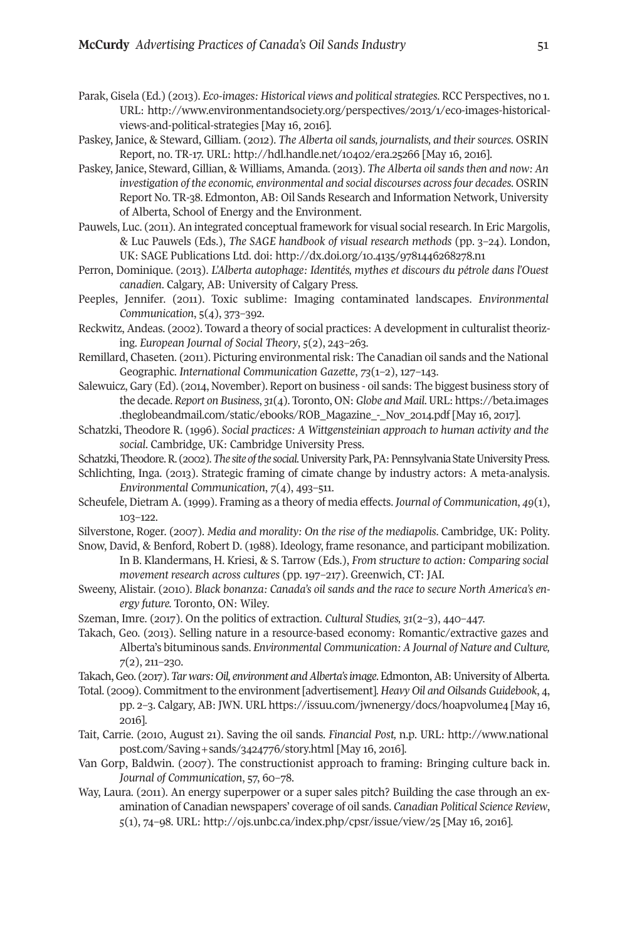- Parak, Gisela (Ed.) (2013). *Eco-images: Historical views and politicalstrategies*. RCC Perspectives, no 1. URL: [http://www.environmentandsociety.org/perspectives/2013/1/eco-images-historical](http://www.environmentandsociety.org/perspectives/2013/1/eco-images-historical-views-and-political-strategies)[views-and-political-strategies](http://www.environmentandsociety.org/perspectives/2013/1/eco-images-historical-views-and-political-strategies) [May 16, 2016].
- Paskey, Janice, & Steward, Gilliam. (2012). *The Alberta oil sands, journalists, and their sources*. OSRIN Report, no. TR-17. URL: <http://hdl.handle.net/10402/era.25266> [May 16, 2016].
- Paskey, Janice, Steward, Gillian, & Williams, Amanda. (2013). *The Alberta oilsandsthen and now: An investigation of the economic, environmental and social discourses acrossfour decades*. OSRIN Report No. TR-38. Edmonton, AB: Oil Sands Research and Information Network, University of Alberta, School of Energy and the Environment.
- Pauwels, Luc. (2011). An integrated conceptual framework for visual social research. In Eric Margolis, & Luc Pauwels (Eds.), *The SAGE handbook of visual research methods* (pp. 3–24). London, UK: SAGE Publications Ltd. doi: <http://dx.doi.org/10.4135/9781446268278.n1>
- Perron, Dominique. (2013). *L'Alberta autophage: Identités, mythes et discours du pétrole dans l'Ouest canadien*. Calgary, AB: University of Calgary Press.
- Peeples, Jennifer. (2011). Toxic sublime: Imaging contaminated landscapes. *Environmental Communication*, 5(4), 373–392.
- Reckwitz, Andeas. (2002). Toward a theory of social practices: A development in culturalist theorizing. *European Journal of Social Theory*, *5*(2), 243–263.
- Remillard, Chaseten. (2011). Picturing environmental risk: The Canadian oil sands and the National Geographic. *International Communication Gazette*, *73*(1–2), 127–143.
- Salewuicz, Gary (Ed). (2014, November). Report on business oil sands: The biggest business story of the decade. *Report on Business*, *31*(4). Toronto, ON: *Globe and Mail*.URL: [https://beta.images](https://beta.images.theglobeandmail.com/static/ebooks/ROB_Magazine_-_Nov_2014.pdf) [.theglobeandmail.com/static/ebooks/ROB\\_Magazine\\_-\\_Nov\\_2014.pdf](https://beta.images.theglobeandmail.com/static/ebooks/ROB_Magazine_-_Nov_2014.pdf) [May 16, 2017].
- Schatzki, Theodore R. (1996). *Social practices: A Wittgensteinian approach to human activity and the social*. Cambridge, UK: Cambridge University Press.
- Schatzki, Theodore. R. (2002). *The site of the social*. University Park, PA: Pennsylvania State University Press.
- Schlichting, Inga. (2013). Strategic framing of cimate change by industry actors: A meta-analysis. *Environmental Communication*, *7*(4), 493–511.
- Scheufele, Dietram A. (1999). Framing as a theory of media effects. *Journal of Communication*, *49*(1), 103–122.
- Silverstone, Roger. (2007). *Media and morality: On the rise of the mediapolis*. Cambridge, UK: Polity.
- Snow, David, & Benford, Robert D. (1988). Ideology, frame resonance, and participant mobilization. In B. Klandermans, H. Kriesi, & S. Tarrow (Eds.), *From structure to action: Comparing social movement research across cultures* (pp. 197–217). Greenwich, CT: JAI.
- Sweeny, Alistair. (2010). *Black bonanza: Canada's oil sands and the race to secure North America's energy future.* Toronto, ON: Wiley.
- Szeman, Imre. (2017). On the politics of extraction. *Cultural Studies, 31*(2–3), 440–447.
- Takach, Geo. (2013). Selling nature in a resource-based economy: Romantic/extractive gazes and Alberta's bituminous sands. *Environmental Communication: A Journal of Nature and Culture, 7*(2), 211–230.
- Takach,Geo. (2017). *Tar wars: Oil, environment andAlberta'simage*. Edmonton,AB:University ofAlberta.
- Total. (2009). Commitment to the environment [advertisement]. *Heavy Oil and Oilsands Guidebook*, 4, pp. 2–3. Calgary, AB: JWN. URL <https://issuu.com/jwnenergy/docs/hoapvolume4> [May 16, 2016].
- Tait, Carrie. (2010, August 21). Saving the oil sands. *Financial Post,* n.p. URL: [http://www.national](http://www.nationalpost.com/Saving+sands/3424776/story.html) [post.com/Saving+sands/3424776/story.html](http://www.nationalpost.com/Saving+sands/3424776/story.html) [May 16, 2016].
- Van Gorp, Baldwin. (2007). The constructionist approach to framing: Bringing culture back in. *Journal of Communication*, 57, 60–78.
- Way, Laura. (2011). An energy superpower or a super sales pitch? Building the case through an examination of Canadian newspapers' coverage of oil sands. *Canadian Political Science Review*, *5*(1), 74–98. URL: <http://ojs.unbc.ca/index.php/cpsr/issue/view/25> [May 16, 2016].